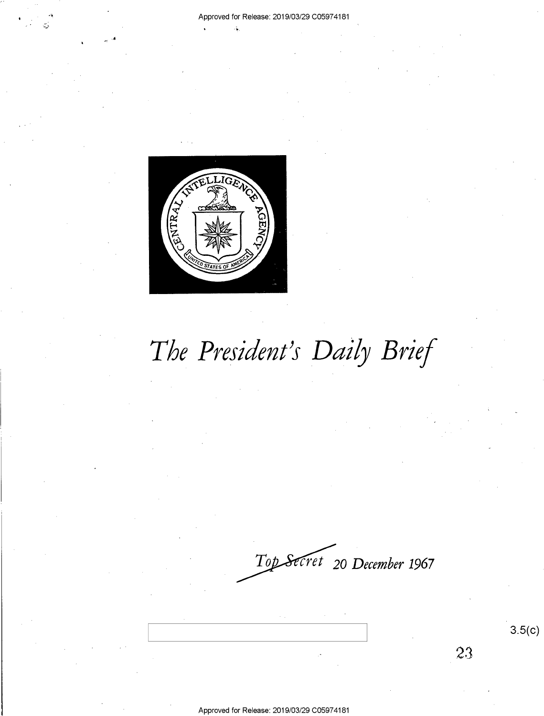

# *The President's Daily Brief*

*cret* 20 *December* **1967** 

3.5(c)

 $23$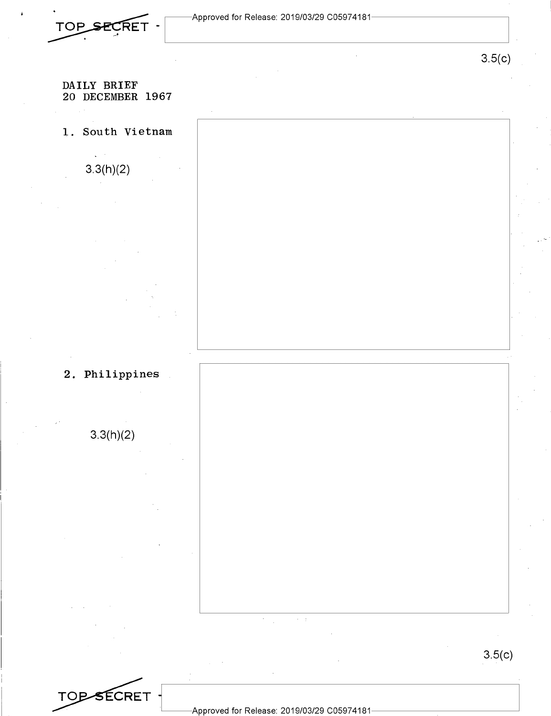

#### DAILY BRIEF 20 DECEMBER 1967

1. South Vietnam

3.3(h)(2)

2. Philippines

3.3(h)(2)

TOP-SECRET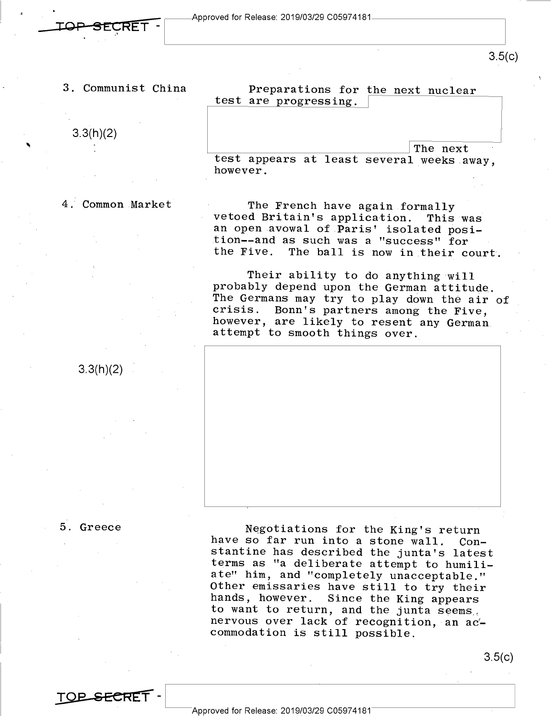3.5(c)

3. Communist China

3.3(h)(2)

Preparations for the next nuclear test are progressing.

The next test appears at least several weeks away, however.

4. Common Market

The French have again formally vetoed Britain's application. This was an open avowal of Paris' isolated position--and as such was a "success" for the Five. The ball is now in their court.

Their ability to do anything will probably depend upon the German attitude. The Germans may try to play down the air of crisis. Bonn's partners among the Five. Bonn's partners among the Five, however, are likely to resent any German attempt to smooth things over.



5. Greece

TOP SECRET

3.3(h)(2)

Negotiations for the King's return have so far run into a stone wall. Constantine has described the junta's latest terms as "a deliberate attempt to humiliate" him, and "completely unacceptable." Other emissaries have still to try their hands, however. Since the King appears to want to return, and the junta seems, nervous over lack of recognition, an accommodation is still possible.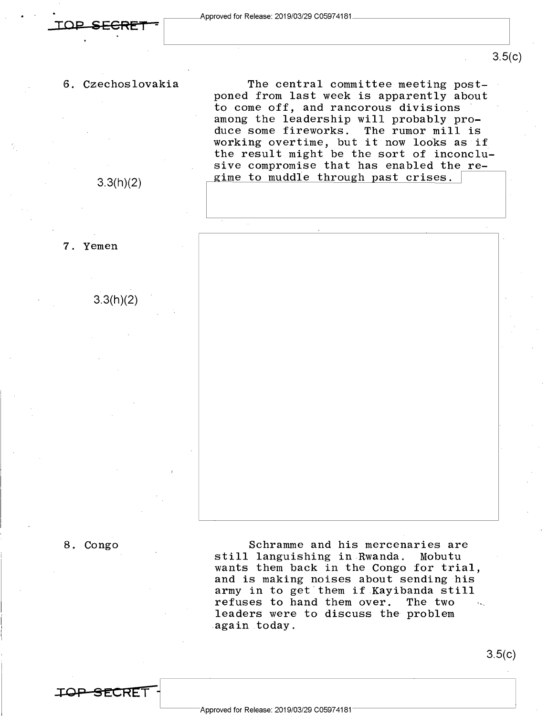### 3.5(c)

6. Czechoslovakia

3.3(h)(2)

3.3(h)(2)

7. Yemen

The central committee meeting postponed from last week is apparently about to come off, and rancorous divisions among the leadership will probably produce some fireworks. The rumor mill is working overtime, but it now looks as if the result might be the sort of inconclusive compromise that has enabled the regime to muddle through past crises.



8. Congo

**..:ro P S 1:.CRET** -

Schramme and his mercenaries are<br>Ianguishing in Rwanda. Mobutu still languishing in Rwanda. wants them back in the Congo for trial, and is making noises about sending his army in to get them if Kayibanda still refuses to hand them over. The two leaders were to discuss the problem again today.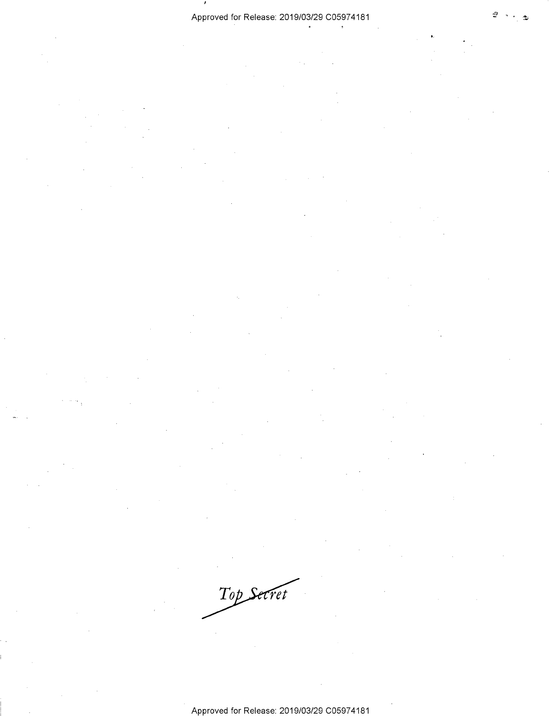$\cdot$ 

Top Secret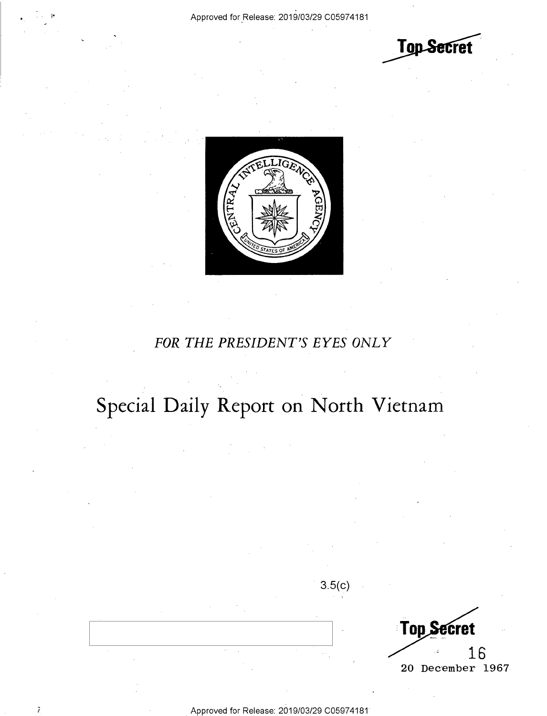



C Approved for\_Release: 2019/03/29 C05974181

## *FOR THE PRESIDENT'S EYES ONLY*

## Special Daily Report on North Vietnam

3.5(c)

Top Secret 16 20 December 1967

 $\overline{t}$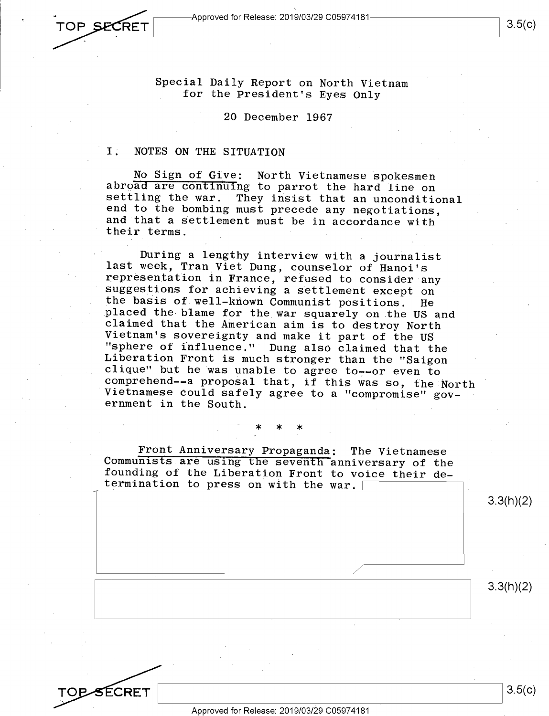TOP SECRET  $L_\nu$  , and the contribution of the contribution of the contribution of the contribution of the contribution of the contribution of the contribution of the contribution of the contribution of the contribution of the contr

SÉCRET

Special Daily Report on North Vietnam for the President's Eyes Only

#### 20 December 1967

#### I. NOTES ON THE SITUATION

No Sign of Give: North Vietnamese spokesmen abroad are continuing to parrot the hard line on settling the war. They insist that an unconditional end to the bombing must precede any negotiations, and that a settlement must be in accordance with their terms.

During a lengthy interview with a journalist last week, Tran Viet Dung, counselor of Hanoi's representation in France, refused to consider any suggestions for achieving a settlement except on the basis of well-known Communist positions. He <sup>p</sup>laced the blame for the war squarely on the US and claimed that the American aim is to destroy North Vietnam's sovereignty and make it part of the US "sphere of influence." Dung also claimed that the Liberation Front is much stronger than the "Saigon clique" but he was unable to agree to--or even to comprehend--a proposal that, if this was so, the North Vietnamese could safely agree to a "compromise" government in the South.

#### \* \* \*

Front Anniversary Propaganda: The Vietnamese Communists are using the seventh anniversary of the founding of the Liberation Front to voice their determination to press on with the war.

3.3(h)(2)

3.3(h)(2)

Approved for Release: 2019/03/29 C05974181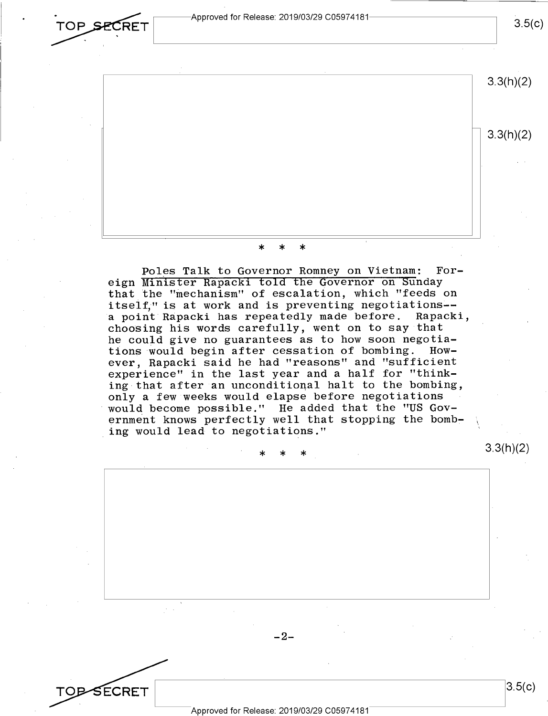**·**<br>TOP **SECRET** Approved for Release: 2019/03/29 C05974181-**~--:--RET ~--------------\_\_\_J** 

 $3.5(c)$ 

3.3(h)(2) 3.3(h)(2)

## \* \* \*

Poles Talk to Governor Romney on Vietnam: Foreign Minister Rapacki told the Governor on Sunday that the "mechanism" of escalation, which "feeds on itself," is at work and is preventing negotiations- a point Rapacki has repeatedly made before. Rapacki, choosing his words carefully, went on to say that he could give no guarantees as to how soon negotia-<br>tions would begin after cessation of bombing. Howtions would begin after cessation of bombing. ever, Rapacki said he had "reasons" and "sufficient experience" in the last year and a half for "thinking that after an unconditional halt to the bombing, only a few weeks would elapse before negotiations would become possible." He added that the "US Government knows perfectly well that stopping the bombing would lead to negotiations."

\* \* \*

Approved for Release: 2019/03/29 C05974181

TO<del>D S</del>ECRET

 $-2-$ 

 $3.5(c)$ 

3.3(h)(2)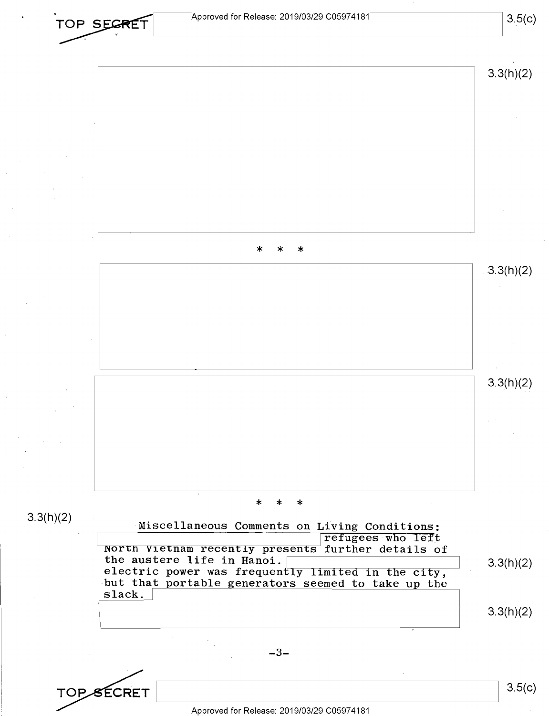

Approved for Release: 2019/03/29 C05974181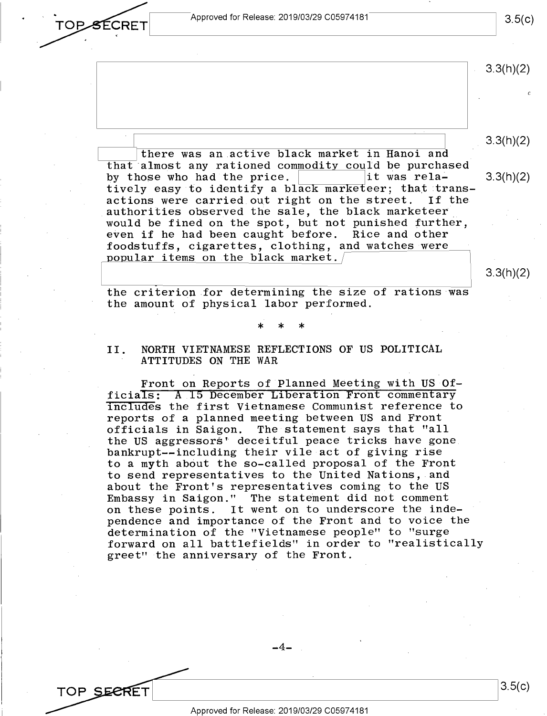Approved for Release: 2019/03/29 C05974181  $\overline{\hspace{1.5cm}3.5(c)}$ 

OPSECRET

TOP SEERET

3.3(h)(2) 3.3(h)(2) where was an active black market in Hanoi and<br>that almost any rationed commodity could be purchased there was an active black market in Hanoi and by those who had the price.  $\vert$  it was rela- 3.3(h)(2) tively easy to identify a black marketeer; that trans-<br>actions were carried out right on the street. If the actions were carried out right on the street. authorities observed the sale, the black marketeer would be fined on the spot, but not punished further, even if he had been caught before. Rice and other foodstuffs, cigarettes, clothing, and watches were popular items on the black market. the criterion for determining the size of rations was the amount of physical labor performed. \* \* \* 3.3(h)(2)

#### II. NORTH VIETNAMESE REFLECTIONS OF US POLITICAL ATTITUDES ON THE WAR

Front on Reports of Planned Meeting with US Officials: **A 15** December Liberation Front commentary includes the first Vietnamese Communist reference to reports of a planned meeting between US and Front officials in Saigon. The statement says that "all the US aggressors' deceitful peace tricks have gone bankrupt--including their vile act of giving rise to a myth about the so-called proposal of the Front to send representatives to the United Nations, and about the Front's representatives coming to the US Embassy in Saigon." The statement did not comment on these points. It went on to underscore the independence and importance of the Front and to voice the determination of the "Vietnamese people" to "surge forward on all battlefields" in order to "realistically greet" the anniversary of the Front.

 $-4-$